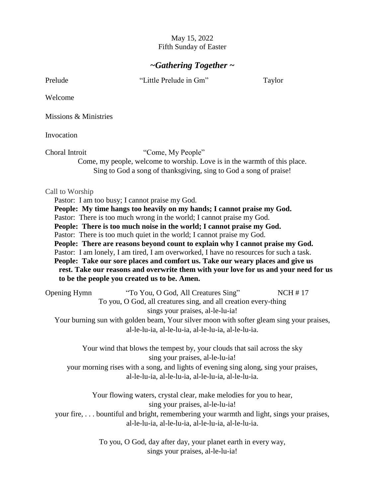#### May 15, 2022 Fifth Sunday of Easter

# *~Gathering Together ~*

Prelude "Little Prelude in Gm" Taylor

Welcome

Missions & Ministries

Invocation

Choral Introit "Come, My People" Come, my people, welcome to worship. Love is in the warmth of this place. Sing to God a song of thanksgiving, sing to God a song of praise!

#### Call to Worship

Pastor: I am too busy; I cannot praise my God. **People: My time hangs too heavily on my hands; I cannot praise my God.**  Pastor: There is too much wrong in the world; I cannot praise my God. **People: There is too much noise in the world; I cannot praise my God.**  Pastor: There is too much quiet in the world; I cannot praise my God. **People: There are reasons beyond count to explain why I cannot praise my God.**  Pastor: I am lonely, I am tired, I am overworked, I have no resources for such a task. **People: Take our sore places and comfort us. Take our weary places and give us rest. Take our reasons and overwrite them with your love for us and your need for us to be the people you created us to be. Amen.** 

| Opening Hymn                                                                             | "To You, O God, All Creatures Sing"                             | NCH#17 |  |  |
|------------------------------------------------------------------------------------------|-----------------------------------------------------------------|--------|--|--|
|                                                                                          | To you, O God, all creatures sing, and all creation every-thing |        |  |  |
| sings your praises, al-le-lu-ia!                                                         |                                                                 |        |  |  |
| Your burning sun with golden beam, Your silver moon with softer gleam sing your praises, |                                                                 |        |  |  |
|                                                                                          | al-le-lu-ia, al-le-lu-ia, al-le-lu-ia, al-le-lu-ia.             |        |  |  |

Your wind that blows the tempest by, your clouds that sail across the sky sing your praises, al-le-lu-ia! your morning rises with a song, and lights of evening sing along, sing your praises,

al-le-lu-ia, al-le-lu-ia, al-le-lu-ia, al-le-lu-ia.

Your flowing waters, crystal clear, make melodies for you to hear, sing your praises, al-le-lu-ia!

your fire, . . . bountiful and bright, remembering your warmth and light, sings your praises, al-le-lu-ia, al-le-lu-ia, al-le-lu-ia, al-le-lu-ia.

> To you, O God, day after day, your planet earth in every way, sings your praises, al-le-lu-ia!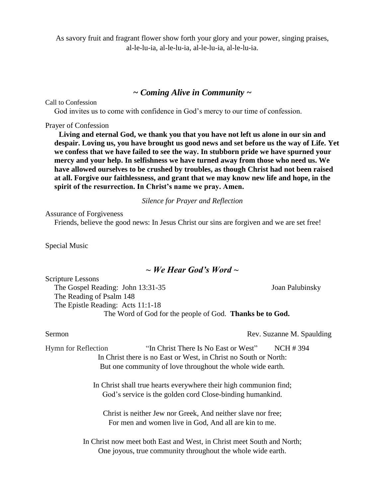As savory fruit and fragrant flower show forth your glory and your power, singing praises, al-le-lu-ia, al-le-lu-ia, al-le-lu-ia, al-le-lu-ia.

#### *~ Coming Alive in Community ~*

Call to Confession

God invites us to come with confidence in God's mercy to our time of confession.

#### Prayer of Confession

**Living and eternal God, we thank you that you have not left us alone in our sin and despair. Loving us, you have brought us good news and set before us the way of Life. Yet we confess that we have failed to see the way. In stubborn pride we have spurned your mercy and your help. In selfishness we have turned away from those who need us. We have allowed ourselves to be crushed by troubles, as though Christ had not been raised at all. Forgive our faithlessness, and grant that we may know new life and hope, in the spirit of the resurrection. In Christ's name we pray. Amen.** 

*Silence for Prayer and Reflection*

Assurance of Forgiveness

Friends, believe the good news: In Jesus Christ our sins are forgiven and we are set free!

Special Music

### *~ We Hear God's Word ~*

Scripture Lessons The Gospel Reading: John 13:31-35 Joan Palubinsky The Reading of Psalm 148 The Epistle Reading: Acts 11:1-18 The Word of God for the people of God. **Thanks be to God.**

Sermon Rev. Suzanne M. Spaulding

Hymn for Reflection "In Christ There Is No East or West" NCH # 394 In Christ there is no East or West, in Christ no South or North: But one community of love throughout the whole wide earth.

> In Christ shall true hearts everywhere their high communion find; God's service is the golden cord Close-binding humankind.

Christ is neither Jew nor Greek, And neither slave nor free; For men and women live in God, And all are kin to me.

In Christ now meet both East and West, in Christ meet South and North; One joyous, true community throughout the whole wide earth.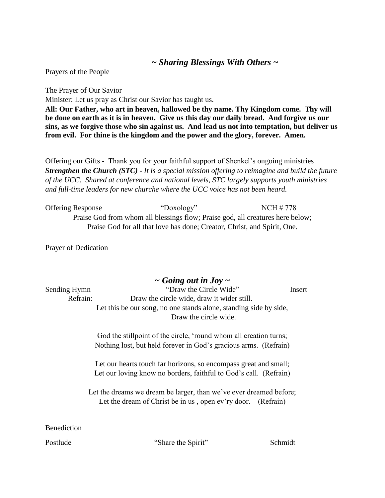# *~ Sharing Blessings With Others ~*

Prayers of the People

The Prayer of Our Savior Minister: Let us pray as Christ our Savior has taught us. **All: Our Father, who art in heaven, hallowed be thy name. Thy Kingdom come. Thy will be done on earth as it is in heaven. Give us this day our daily bread. And forgive us our sins, as we forgive those who sin against us. And lead us not into temptation, but deliver us from evil. For thine is the kingdom and the power and the glory, forever. Amen.**

Offering our Gifts - Thank you for your faithful support of Shenkel's ongoing ministries *Strengthen the Church (STC) - It is a special mission offering to reimagine and build the future of the UCC. Shared at conference and national levels, STC largely supports youth ministries and full-time leaders for new churche where the UCC voice has not been heard.* 

| <b>Offering Response</b> | "Doxology"                                                                     | NCH # 778 |
|--------------------------|--------------------------------------------------------------------------------|-----------|
|                          | Praise God from whom all blessings flow; Praise god, all creatures here below; |           |
|                          | Praise God for all that love has done; Creator, Christ, and Spirit, One.       |           |

Prayer of Dedication

# *~ Going out in Joy ~* Sending Hymn "Draw the Circle Wide" Insert Refrain: Draw the circle wide, draw it wider still. Let this be our song, no one stands alone, standing side by side, Draw the circle wide. God the stillpoint of the circle, 'round whom all creation turns; Nothing lost, but held forever in God's gracious arms. (Refrain) Let our hearts touch far horizons, so encompass great and small; Let our loving know no borders, faithful to God's call. (Refrain) Let the dreams we dream be larger, than we've ever dreamed before; Let the dream of Christ be in us, open ev'ry door. (Refrain) Benediction

Postlude "Share the Spirit" Schmidt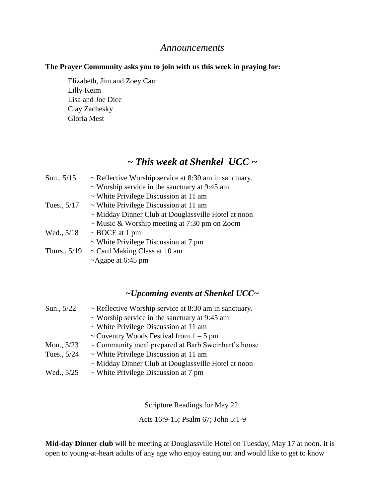## *Announcements*

#### **The Prayer Community asks you to join with us this week in praying for:**

Elizabeth, Jim and Zoey Carr Lilly Keim Lisa and Joe Dice Clay Zachesky Gloria Mest

# *~ This week at Shenkel UCC ~*

| Sun., $5/15$   | $\sim$ Reflective Worship service at 8:30 am in sanctuary. |  |
|----------------|------------------------------------------------------------|--|
|                | $\sim$ Worship service in the sanctuary at 9:45 am         |  |
|                | $\sim$ White Privilege Discussion at 11 am                 |  |
| Tues., 5/17    | $\sim$ White Privilege Discussion at 11 am                 |  |
|                | ~ Midday Dinner Club at Douglassville Hotel at noon        |  |
|                | $\sim$ Music & Worship meeting at 7:30 pm on Zoom          |  |
| Wed., 5/18     | $\sim$ BOCE at 1 pm                                        |  |
|                | $\sim$ White Privilege Discussion at 7 pm                  |  |
| Thurs., $5/19$ | $\sim$ Card Making Class at 10 am                          |  |
|                | ~Agape at 6:45 pm                                          |  |

# *~Upcoming events at Shenkel UCC~*

| Sun., 5/22  | $\sim$ Reflective Worship service at 8:30 am in sanctuary.<br>$\sim$ Worship service in the sanctuary at 9:45 am |  |
|-------------|------------------------------------------------------------------------------------------------------------------|--|
|             |                                                                                                                  |  |
|             | $\sim$ White Privilege Discussion at 11 am                                                                       |  |
|             | ~ Coventry Woods Festival from $1 - 5$ pm                                                                        |  |
| Mon., 5/23  | $\sim$ Community meal prepared at Barb Sweinhart's house                                                         |  |
| Tues., 5/24 | $\sim$ White Privilege Discussion at 11 am                                                                       |  |
|             | $\sim$ Midday Dinner Club at Douglassville Hotel at noon                                                         |  |
| Wed., 5/25  | $\sim$ White Privilege Discussion at 7 pm                                                                        |  |
|             |                                                                                                                  |  |

Scripture Readings for May 22:

Acts 16:9-15; Psalm 67; John 5:1-9

**Mid-day Dinner club** will be meeting at Douglassville Hotel on Tuesday, May 17 at noon. It is open to young-at-heart adults of any age who enjoy eating out and would like to get to know